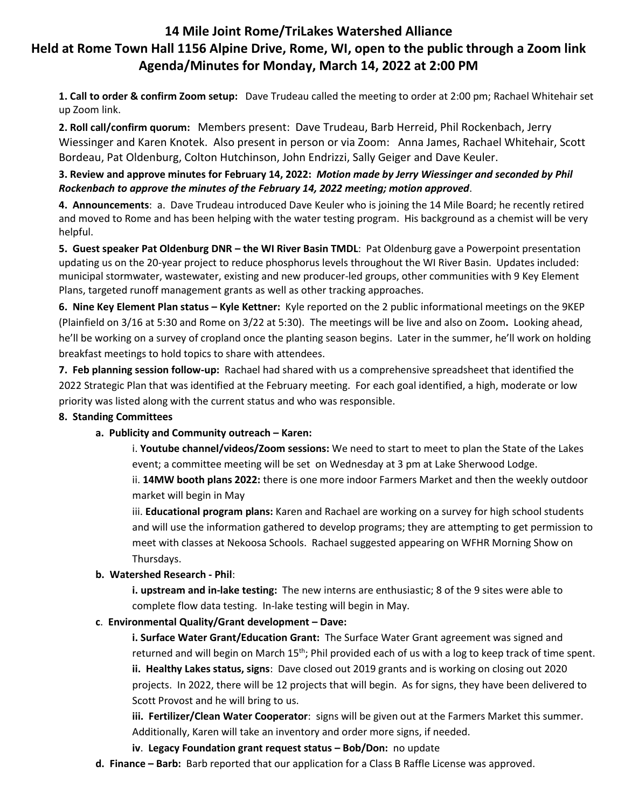# **14 Mile Joint Rome/TriLakes Watershed Alliance Held at Rome Town Hall 1156 Alpine Drive, Rome, WI, open to the public through a Zoom link Agenda/Minutes for Monday, March 14, 2022 at 2:00 PM**

**1. Call to order & confirm Zoom setup:** Dave Trudeau called the meeting to order at 2:00 pm; Rachael Whitehair set up Zoom link.

**2. Roll call/confirm quorum:** Members present: Dave Trudeau, Barb Herreid, Phil Rockenbach, Jerry Wiessinger and Karen Knotek. Also present in person or via Zoom: Anna James, Rachael Whitehair, Scott Bordeau, Pat Oldenburg, Colton Hutchinson, John Endrizzi, Sally Geiger and Dave Keuler.

### **3. Review and approve minutes for February 14, 2022:** *Motion made by Jerry Wiessinger and seconded by Phil Rockenbach to approve the minutes of the February 14, 2022 meeting; motion approved*.

**4. Announcements**: a. Dave Trudeau introduced Dave Keuler who is joining the 14 Mile Board; he recently retired and moved to Rome and has been helping with the water testing program. His background as a chemist will be very helpful.

**5. Guest speaker Pat Oldenburg DNR – the WI River Basin TMDL**: Pat Oldenburg gave a Powerpoint presentation updating us on the 20-year project to reduce phosphorus levels throughout the WI River Basin. Updates included: municipal stormwater, wastewater, existing and new producer-led groups, other communities with 9 Key Element Plans, targeted runoff management grants as well as other tracking approaches.

**6. Nine Key Element Plan status – Kyle Kettner:** Kyle reported on the 2 public informational meetings on the 9KEP (Plainfield on 3/16 at 5:30 and Rome on 3/22 at 5:30). The meetings will be live and also on Zoom**.** Looking ahead, he'll be working on a survey of cropland once the planting season begins. Later in the summer, he'll work on holding breakfast meetings to hold topics to share with attendees.

**7. Feb planning session follow-up:** Rachael had shared with us a comprehensive spreadsheet that identified the 2022 Strategic Plan that was identified at the February meeting. For each goal identified, a high, moderate or low priority was listed along with the current status and who was responsible.

## **8. Standing Committees**

#### **a. Publicity and Community outreach – Karen:**

i. **Youtube channel/videos/Zoom sessions:** We need to start to meet to plan the State of the Lakes event; a committee meeting will be set on Wednesday at 3 pm at Lake Sherwood Lodge.

ii. **14MW booth plans 2022:** there is one more indoor Farmers Market and then the weekly outdoor market will begin in May

iii. **Educational program plans:** Karen and Rachael are working on a survey for high school students and will use the information gathered to develop programs; they are attempting to get permission to meet with classes at Nekoosa Schools. Rachael suggested appearing on WFHR Morning Show on Thursdays.

#### **b. Watershed Research - Phil**:

**i. upstream and in-lake testing:** The new interns are enthusiastic; 8 of the 9 sites were able to complete flow data testing. In-lake testing will begin in May.

#### **c**. **Environmental Quality/Grant development – Dave:**

**i. Surface Water Grant/Education Grant:** The Surface Water Grant agreement was signed and returned and will begin on March 15<sup>th</sup>; Phil provided each of us with a log to keep track of time spent. **ii. Healthy Lakes status, signs**: Dave closed out 2019 grants and is working on closing out 2020 projects. In 2022, there will be 12 projects that will begin. As for signs, they have been delivered to Scott Provost and he will bring to us.

**iii. Fertilizer/Clean Water Cooperator**: signs will be given out at the Farmers Market this summer. Additionally, Karen will take an inventory and order more signs, if needed.

- **iv**. **Legacy Foundation grant request status – Bob/Don:** no update
- **d. Finance – Barb:** Barb reported that our application for a Class B Raffle License was approved.